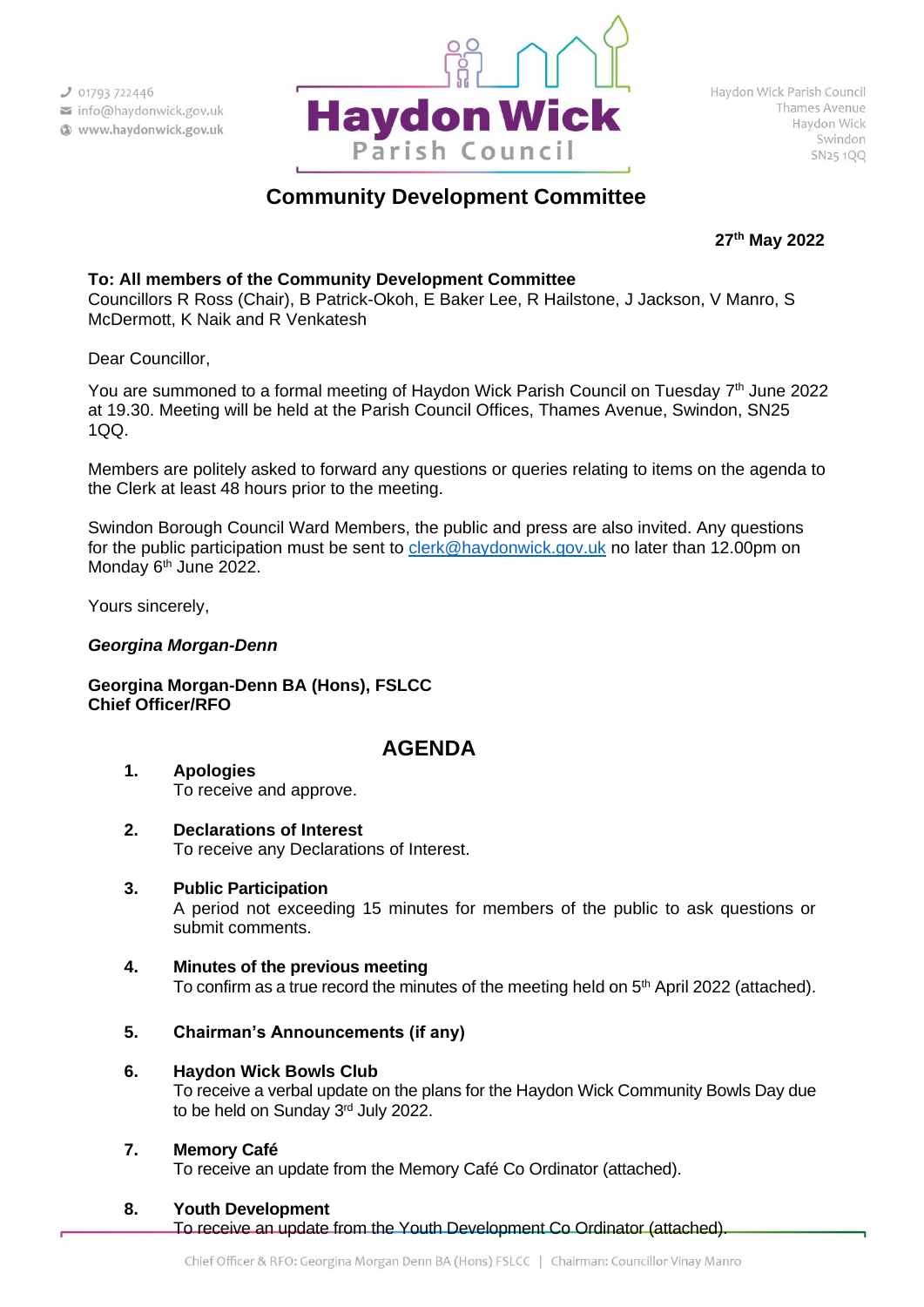

# **Community Development Committee**

**27th May 2022**

## **To: All members of the Community Development Committee**

Councillors R Ross (Chair), B Patrick-Okoh, E Baker Lee, R Hailstone, J Jackson, V Manro, S McDermott, K Naik and R Venkatesh

Dear Councillor,

You are summoned to a formal meeting of Haydon Wick Parish Council on Tuesday 7<sup>th</sup> June 2022 at 19.30. Meeting will be held at the Parish Council Offices, Thames Avenue, Swindon, SN25 1QQ.

Members are politely asked to forward any questions or queries relating to items on the agenda to the Clerk at least 48 hours prior to the meeting.

Swindon Borough Council Ward Members, the public and press are also invited. Any questions for the public participation must be sent to [clerk@haydonwick.gov.uk](mailto:clerk@haydonwick.gov.uk) no later than 12.00pm on Monday 6<sup>th</sup> June 2022.

Yours sincerely,

## *Georgina Morgan-Denn*

**Georgina Morgan-Denn BA (Hons), FSLCC Chief Officer/RFO**

## **AGENDA**

- **1. Apologies** To receive and approve.
- **2. Declarations of Interest** To receive any Declarations of Interest.
- **3. Public Participation** A period not exceeding 15 minutes for members of the public to ask questions or submit comments.
- **4. Minutes of the previous meeting** To confirm as a true record the minutes of the meeting held on 5<sup>th</sup> April 2022 (attached).
- **5. Chairman's Announcements (if any)**
- **6. Haydon Wick Bowls Club** To receive a verbal update on the plans for the Haydon Wick Community Bowls Day due to be held on Sunday 3rd July 2022.
- **7. Memory Café**

To receive an update from the Memory Café Co Ordinator (attached).

**8. Youth Development** 

To receive an update from the Youth Development Co Ordinator (attached).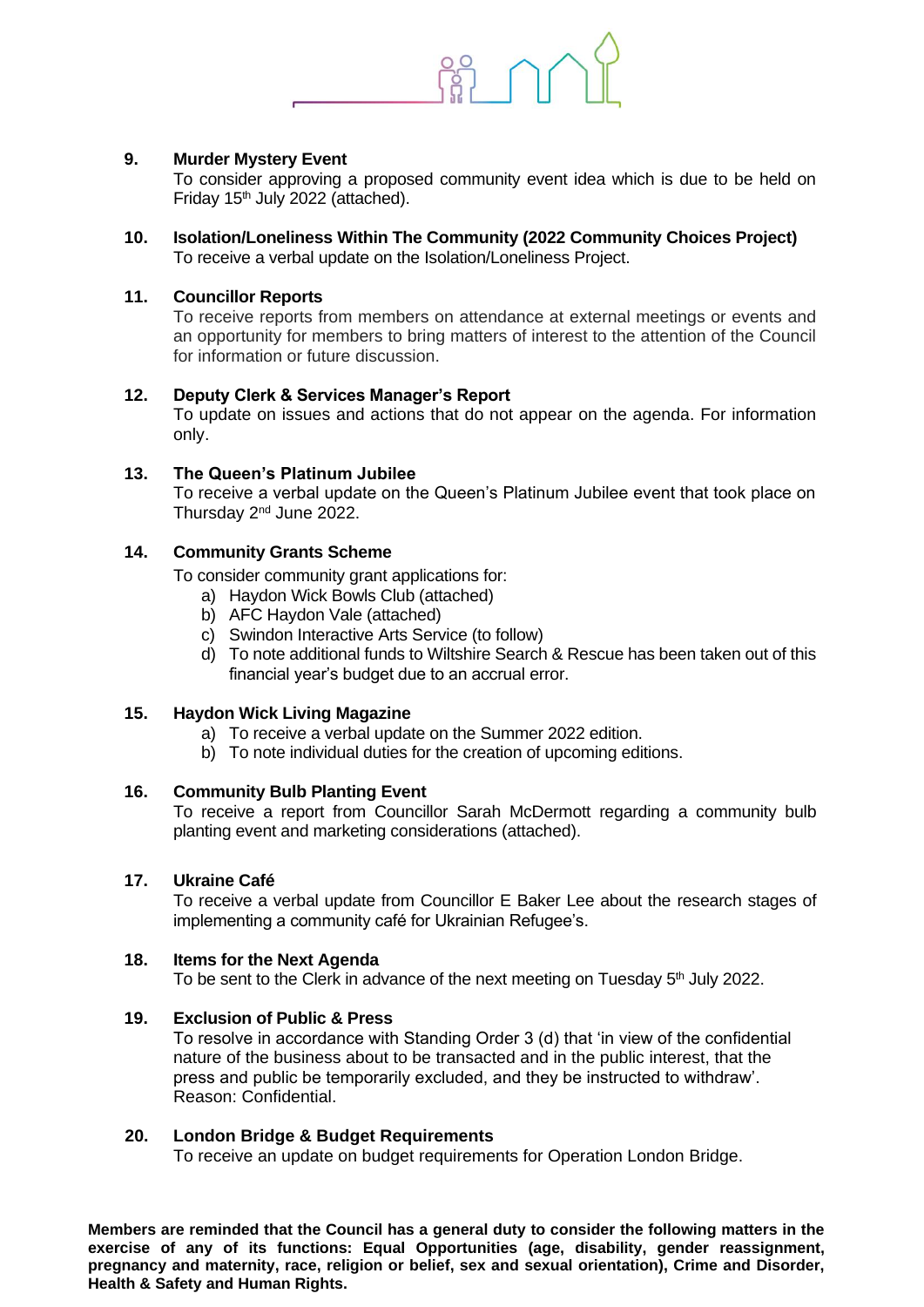

## **9. Murder Mystery Event**

To consider approving a proposed community event idea which is due to be held on Friday 15th July 2022 (attached).

**10. Isolation/Loneliness Within The Community (2022 Community Choices Project)** To receive a verbal update on the Isolation/Loneliness Project.

## **11. Councillor Reports**

To receive reports from members on attendance at external meetings or events and an opportunity for members to bring matters of interest to the attention of the Council for information or future discussion.

## **12. Deputy Clerk & Services Manager's Report**

To update on issues and actions that do not appear on the agenda. For information only.

## **13. The Queen's Platinum Jubilee**

To receive a verbal update on the Queen's Platinum Jubilee event that took place on Thursday 2nd June 2022.

## **14. Community Grants Scheme**

To consider community grant applications for:

- a) Haydon Wick Bowls Club (attached)
- b) AFC Haydon Vale (attached)
- c) Swindon Interactive Arts Service (to follow)
- d) To note additional funds to Wiltshire Search & Rescue has been taken out of this financial year's budget due to an accrual error.

#### **15. Haydon Wick Living Magazine**

- a) To receive a verbal update on the Summer 2022 edition.
- b) To note individual duties for the creation of upcoming editions.

#### **16. Community Bulb Planting Event**

To receive a report from Councillor Sarah McDermott regarding a community bulb planting event and marketing considerations (attached).

#### **17. Ukraine Café**

To receive a verbal update from Councillor E Baker Lee about the research stages of implementing a community café for Ukrainian Refugee's.

#### **18. Items for the Next Agenda**

To be sent to the Clerk in advance of the next meeting on Tuesday 5<sup>th</sup> July 2022.

#### **19. Exclusion of Public & Press**

To resolve in accordance with Standing Order 3 (d) that 'in view of the confidential nature of the business about to be transacted and in the public interest, that the press and public be temporarily excluded, and they be instructed to withdraw'. Reason: Confidential.

#### **20. London Bridge & Budget Requirements**

To receive an update on budget requirements for Operation London Bridge.

**Members are reminded that the Council has a general duty to consider the following matters in the exercise of any of its functions: Equal Opportunities (age, disability, gender reassignment, pregnancy and maternity, race, religion or belief, sex and sexual orientation), Crime and Disorder, Health & Safety and Human Rights.**